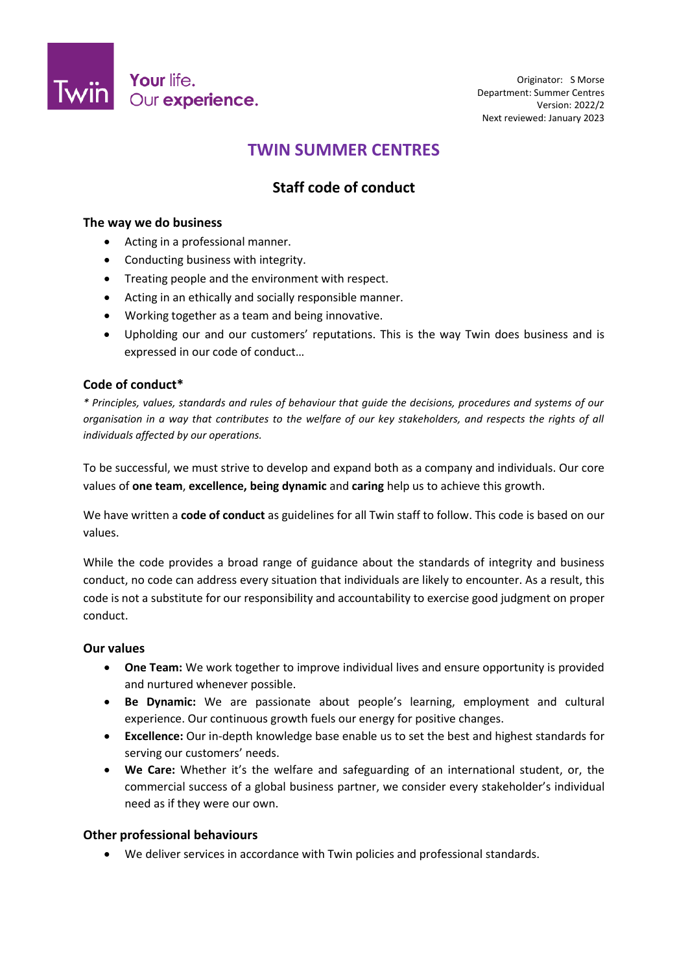

## **TWIN SUMMER CENTRES**

### **Staff code of conduct**

#### **The way we do business**

- Acting in a professional manner.
- Conducting business with integrity.
- Treating people and the environment with respect.
- Acting in an ethically and socially responsible manner.
- Working together as a team and being innovative.
- Upholding our and our customers' reputations. This is the way Twin does business and is expressed in our code of conduct…

### **Code of conduct\***

*\* Principles, values, standards and rules of behaviour that guide the decisions, procedures and systems of our organisation in a way that contributes to the welfare of our key stakeholders, and respects the rights of all individuals affected by our operations.* 

To be successful, we must strive to develop and expand both as a company and individuals. Our core values of **one team**, **excellence, being dynamic** and **caring** help us to achieve this growth.

We have written a **code of conduct** as guidelines for all Twin staff to follow. This code is based on our values.

While the code provides a broad range of guidance about the standards of integrity and business conduct, no code can address every situation that individuals are likely to encounter. As a result, this code is not a substitute for our responsibility and accountability to exercise good judgment on proper conduct.

#### **Our values**

- **One Team:** We work together to improve individual lives and ensure opportunity is provided and nurtured whenever possible.
- **Be Dynamic:** We are passionate about people's learning, employment and cultural experience. Our continuous growth fuels our energy for positive changes.
- **Excellence:** Our in-depth knowledge base enable us to set the best and highest standards for serving our customers' needs.
- **We Care:** Whether it's the welfare and safeguarding of an international student, or, the commercial success of a global business partner, we consider every stakeholder's individual need as if they were our own.

#### **Other professional behaviours**

We deliver services in accordance with Twin policies and professional standards.